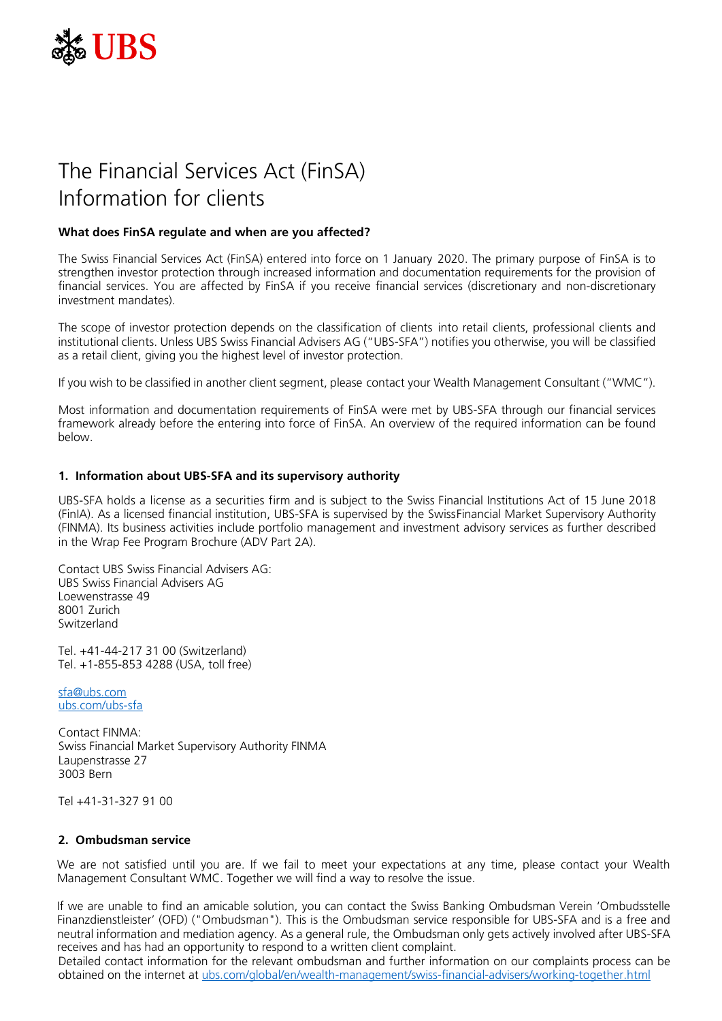

# The Financial Services Act (FinSA) Information for clients

## **What does FinSA regulate and when are you affected?**

The Swiss Financial Services Act (FinSA) entered into force on 1 January 2020. The primary purpose of FinSA is to strengthen investor protection through increased information and documentation requirements for the provision of financial services. You are affected by FinSA if you receive financial services (discretionary and non-discretionary investment mandates).

The scope of investor protection depends on the classification of clients into retail clients, professional clients and institutional clients. Unless UBS Swiss Financial Advisers AG ("UBS-SFA") notifies you otherwise, you will be classified as a retail client, giving you the highest level of investor protection.

If you wish to be classified in another client segment, please contact your Wealth Management Consultant ("WMC").

Most information and documentation requirements of FinSA were met by UBS-SFA through our financial services framework already before the entering into force of FinSA. An overview of the required information can be found below.

#### **1. Information about UBS-SFA and its supervisory authority**

UBS-SFA holds a license as a securities firm and is subject to the Swiss Financial Institutions Act of 15 June 2018 (FinIA). As a licensed financial institution, UBS-SFA is supervised by the SwissFinancial Market Supervisory Authority (FINMA). Its business activities include portfolio management and investment advisory services as further described in the Wrap Fee Program Brochure (ADV Part 2A).

Contact UBS Swiss Financial Advisers AG: UBS Swiss Financial Advisers AG Loewenstrasse 49 8001 Zurich Switzerland

Tel. +41-44-217 31 00 (Switzerland) Tel. +1-855-853 4288 (USA, toll free)

[sfa@ubs.com](mailto:sfa@ubs.com) [ubs.com/ubs-sfa](http://ubs.com/ubs-sfa)

Contact FINMA: Swiss Financial Market Supervisory Authority FINMA Laupenstrasse 27 3003 Bern

Tel +41-31-327 91 00

#### **2. Ombudsman service**

We are not satisfied until you are. If we fail to meet your expectations at any time, please contact your Wealth Management Consultant WMC. Together we will find a way to resolve the issue.

If we are unable to find an amicable solution, you can contact the Swiss Banking Ombudsman Verein 'Ombudsstelle Finanzdienstleister' (OFD) ("Ombudsman"). This is the Ombudsman service responsible for UBS-SFA and is a free and neutral information and mediation agency. As a general rule, the Ombudsman only gets actively involved after UBS-SFA receives and has had an opportunity to respond to a written client complaint.

Detailed contact information for the relevant ombudsman and further information on our complaints process can be obtained on the internet at [ubs.com/global/en/wealth-management/swiss-financial-advisers/working-together.html](https://www.ubs.com/global/en/wealth-management/swiss-financial-advisers/working-together.html)